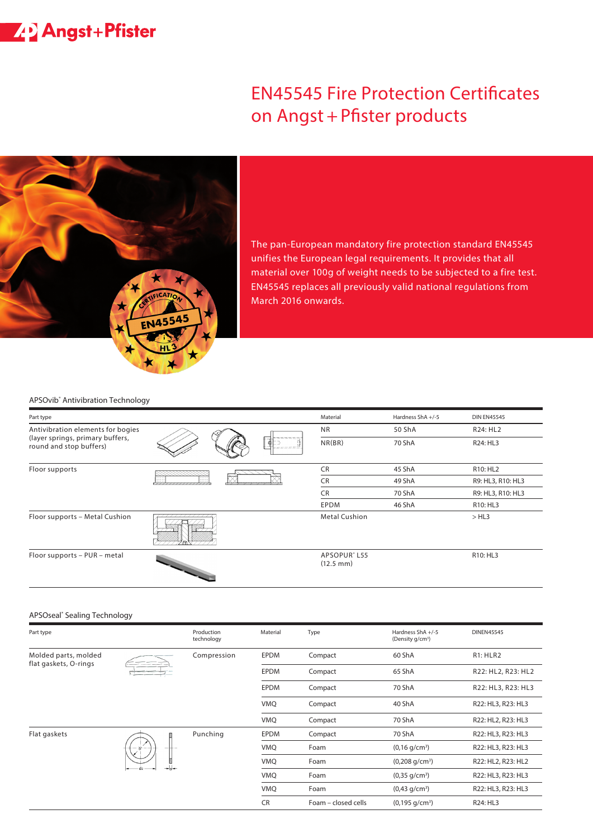# **22 Angst+Pfister**

## EN45545 Fire Protection Certificates on Angst + Pfister products



The pan-European mandatory fire protection standard EN45545 unifies the European legal requirements. It provides that all material over 100g of weight needs to be subjected to a fire test. EN45545 replaces all previously valid national regulations from March 2016 onwards.

#### APSOvib® Antivibration Technology

| Part type                                                                                        |                       | Material                                        | Hardness ShA +/-5 | <b>DIN EN45545</b> |
|--------------------------------------------------------------------------------------------------|-----------------------|-------------------------------------------------|-------------------|--------------------|
| Antivibration elements for bogies<br>(layer springs, primary buffers,<br>round and stop buffers) |                       | <b>NR</b>                                       | 50 ShA            | R24: HL2           |
|                                                                                                  |                       | NR(BR)                                          | 70 ShA            | R24: HL3           |
| Floor supports                                                                                   |                       | CR                                              | 45 ShA            | R10: HL2           |
|                                                                                                  | œ<br>m                | CR                                              | 49 ShA            | R9: HL3, R10: HL3  |
|                                                                                                  |                       | <b>CR</b>                                       | 70 ShA            | R9: HL3, R10: HL3  |
|                                                                                                  |                       | <b>EPDM</b>                                     | 46 ShA            | R10: HL3           |
| Floor supports - Metal Cushion                                                                   | /////////////<br>ረሠራኤ | <b>Metal Cushion</b>                            |                   | >HL3               |
| Floor supports - PUR - metal                                                                     |                       | APSOPUR <sup>®</sup> L55<br>$(12.5 \text{ mm})$ |                   | R10: HL3           |

### APSOseal® Sealing Technology

| Part type                                     |              | Production<br>technology | Material    | Type                | Hardness ShA +/-5<br>(Density g/cm <sup>3</sup> ) | <b>DINEN45545</b>  |
|-----------------------------------------------|--------------|--------------------------|-------------|---------------------|---------------------------------------------------|--------------------|
| Molded parts, molded<br>flat gaskets, O-rings |              | Compression              | <b>EPDM</b> | Compact             | 60 ShA                                            | <b>R1: HLR2</b>    |
|                                               |              |                          | <b>EPDM</b> | Compact             | 65 ShA                                            | R22: HL2, R23: HL2 |
|                                               |              |                          | <b>EPDM</b> | Compact             | 70 ShA                                            | R22: HL3, R23: HL3 |
|                                               |              |                          | VMQ         | Compact             | 40 ShA                                            | R22: HL3, R23: HL3 |
|                                               |              |                          | VMQ         | Compact             | 70 ShA                                            | R22: HL2, R23: HL3 |
| Flat gaskets                                  | 'S<br>$- s $ | Punching                 | <b>EPDM</b> | Compact             | 70 ShA                                            | R22: HL3, R23: HL3 |
|                                               |              |                          | VMQ         | Foam                | $(0,16 \text{ g/cm}^3)$                           | R22: HL3, R23: HL3 |
|                                               |              |                          | <b>VMQ</b>  | Foam                | $(0,208 \text{ g/cm}^3)$                          | R22: HL2, R23: HL2 |
|                                               |              |                          | VMQ         | Foam                | $(0,35 \text{ g/cm}^3)$                           | R22: HL3, R23: HL3 |
|                                               |              |                          | VMQ         | Foam                | $(0,43 \text{ g/cm}^3)$                           | R22: HL3, R23: HL3 |
|                                               |              |                          | <b>CR</b>   | Foam - closed cells | $(0,195 \text{ g/cm}^3)$                          | R24: HL3           |